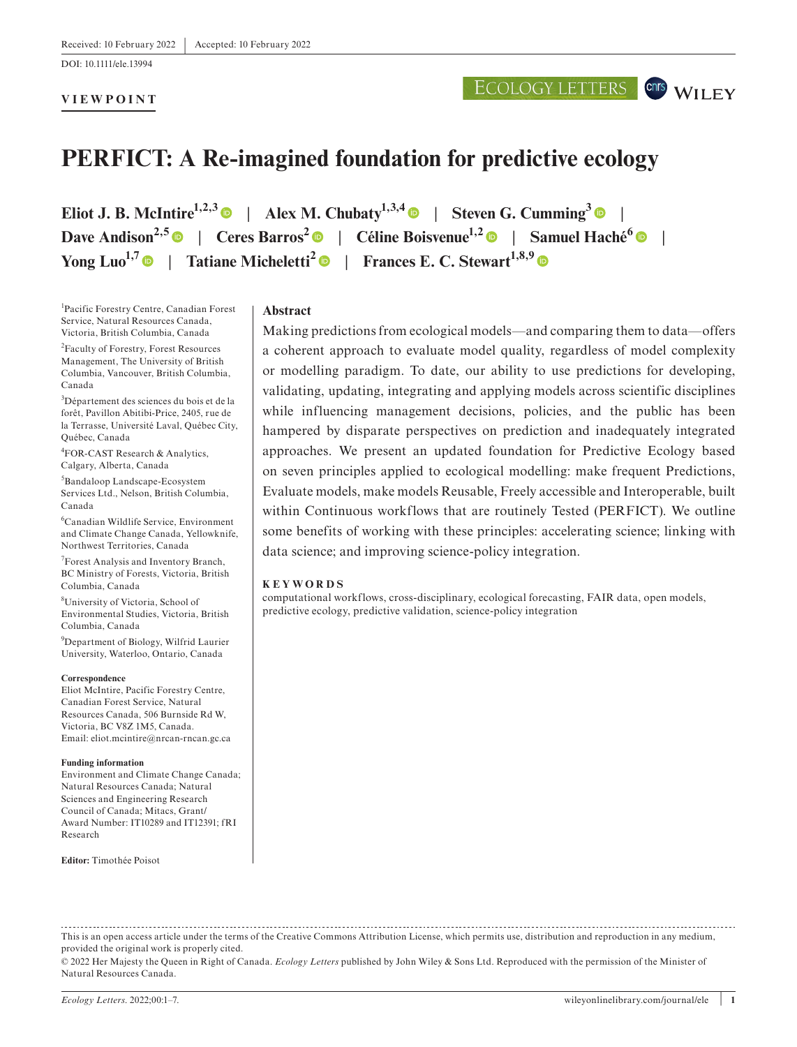DOI: 10.1111/ele.13994

## **VIEWPOINT**

# ECOLOGY LETTERS CONS WILEY

# **PERFICT: A Re-imagined foundation for predictive ecology**

**Eliot J. B. McIntire**<sup>1,2,[3](https://orcid.org/0000-0002-7862-2913)</sup> | Alex M. Chubaty<sup>1,3,4</sup> | Steven G. Cumming<sup>3</sup> | **Dave Andison**<sup>2,[5](https://orcid.org/0000-0001-7135-7160)</sup>  $\bullet$  | Ceres Barros<sup>[2](https://orcid.org/0000-0002-6031-7961)</sup>  $\bullet$  | Céline Boisvenue<sup>1,2</sup>  $\bullet$  | Samuel Haché<sup>[6](https://orcid.org/0000-0003-3952-009X)</sup>  $\bullet$  | **Yong Luo<sup>1,[7](https://orcid.org/0000-0002-3748-9773)</sup> | Tatiane Micheletti<sup>[2](https://orcid.org/0000-0003-4838-8342)</sup> | Frances E. C. Stewart<sup>1,8,[9](https://orcid.org/0000-0001-9344-8346)</sup> | <b>Properties** 

1 Pacific Forestry Centre, Canadian Forest Service, Natural Resources Canada, Victoria, British Columbia, Canada

2 Faculty of Forestry, Forest Resources Management, The University of British Columbia, Vancouver, British Columbia, Canada

3 Département des sciences du bois et de la forêt, Pavillon Abitibi-Price, 2405, rue de la Terrasse, Université Laval, Québec City, Québec, Canada

4 FOR-CAST Research & Analytics, Calgary, Alberta, Canada

5 Bandaloop Landscape-Ecosystem Services Ltd., Nelson, British Columbia, Canada

6 Canadian Wildlife Service, Environment and Climate Change Canada, Yellowknife, Northwest Territories, Canada

7 Forest Analysis and Inventory Branch, BC Ministry of Forests, Victoria, British Columbia, Canada

8 University of Victoria, School of Environmental Studies, Victoria, British Columbia, Canada

9 Department of Biology, Wilfrid Laurier University, Waterloo, Ontario, Canada

#### **Correspondence**

Eliot McIntire, Pacific Forestry Centre, Canadian Forest Service, Natural Resources Canada, 506 Burnside Rd W, Victoria, BC V8Z 1M5, Canada. Email: [eliot.mcintire@nrcan-rncan.gc.ca](mailto:eliot.mcintire@nrcan-rncan.gc.ca)

#### **Funding information**

Environment and Climate Change Canada; Natural Resources Canada; Natural Sciences and Engineering Research Council of Canada; Mitacs, Grant/ Award Number: IT10289 and IT12391; fRI Research

**Editor:** Timothée Poisot

#### **Abstract**

Making predictions from ecological models—and comparing them to data—offers a coherent approach to evaluate model quality, regardless of model complexity or modelling paradigm. To date, our ability to use predictions for developing, validating, updating, integrating and applying models across scientific disciplines while influencing management decisions, policies, and the public has been hampered by disparate perspectives on prediction and inadequately integrated approaches. We present an updated foundation for Predictive Ecology based on seven principles applied to ecological modelling: make frequent Predictions, Evaluate models, make models Reusable, Freely accessible and Interoperable, built within Continuous workflows that are routinely Tested (PERFICT). We outline some benefits of working with these principles: accelerating science; linking with data science; and improving science-policy integration.

#### **KEYWORDS**

computational workflows, cross-disciplinary, ecological forecasting, FAIR data, open models, predictive ecology, predictive validation, science-policy integration

This is an open access article under the terms of the [Creative Commons Attribution](http://creativecommons.org/licenses/by/4.0/) License, which permits use, distribution and reproduction in any medium, provided the original work is properly cited.

<sup>© 2022</sup> Her Majesty the Queen in Right of Canada. *Ecology Letters* published by John Wiley & Sons Ltd. Reproduced with the permission of the Minister of Natural Resources Canada.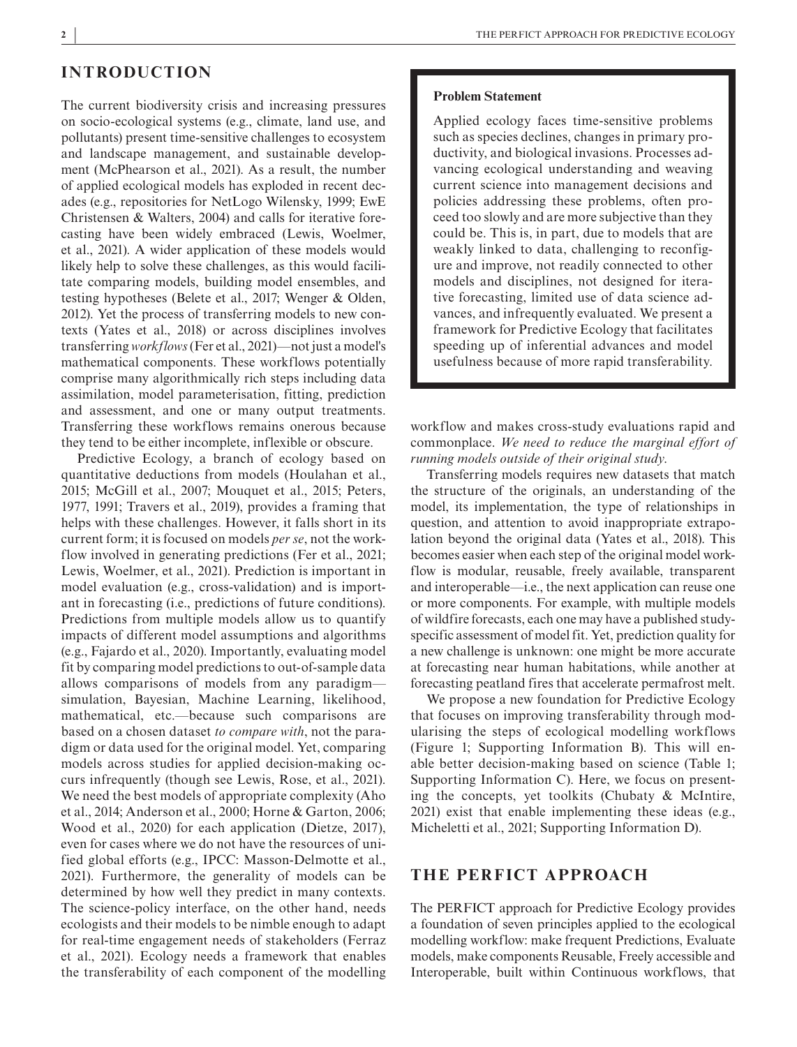# **INTRODUCTION**

The current biodiversity crisis and increasing pressures on socio-ecological systems (e.g., climate, land use, and pollutants) present time-sensitive challenges to ecosystem and landscape management, and sustainable development (McPhearson et al., 2021). As a result, the number of applied ecological models has exploded in recent decades (e.g., repositories for NetLogo Wilensky, 1999; EwE Christensen & Walters, 2004) and calls for iterative forecasting have been widely embraced (Lewis, Woelmer, et al., 2021). A wider application of these models would likely help to solve these challenges, as this would facilitate comparing models, building model ensembles, and testing hypotheses (Belete et al., 2017; Wenger & Olden, 2012). Yet the process of transferring models to new contexts (Yates et al., 2018) or across disciplines involves transferring *workflows* (Fer et al., 2021)—not just a model's mathematical components. These workflows potentially comprise many algorithmically rich steps including data assimilation, model parameterisation, fitting, prediction and assessment, and one or many output treatments. Transferring these workflows remains onerous because they tend to be either incomplete, inflexible or obscure.

Predictive Ecology, a branch of ecology based on quantitative deductions from models (Houlahan et al., 2015; McGill et al., 2007; Mouquet et al., 2015; Peters, 1977, 1991; Travers et al., 2019), provides a framing that helps with these challenges. However, it falls short in its current form; it is focused on models *per se*, not the workflow involved in generating predictions (Fer et al., 2021; Lewis, Woelmer, et al., 2021). Prediction is important in model evaluation (e.g., cross-validation) and is important in forecasting (i.e., predictions of future conditions). Predictions from multiple models allow us to quantify impacts of different model assumptions and algorithms (e.g., Fajardo et al., 2020). Importantly, evaluating model fit by comparing model predictions to out-of-sample data allows comparisons of models from any paradigm simulation, Bayesian, Machine Learning, likelihood, mathematical, etc.—because such comparisons are based on a chosen dataset *to compare with*, not the paradigm or data used for the original model. Yet, comparing models across studies for applied decision-making occurs infrequently (though see Lewis, Rose, et al., 2021). We need the best models of appropriate complexity (Aho et al., 2014; Anderson et al., 2000; Horne & Garton, 2006; Wood et al., 2020) for each application (Dietze, 2017), even for cases where we do not have the resources of unified global efforts (e.g., IPCC: Masson-Delmotte et al., 2021). Furthermore, the generality of models can be determined by how well they predict in many contexts. The science-policy interface, on the other hand, needs ecologists and their models to be nimble enough to adapt for real-time engagement needs of stakeholders (Ferraz et al., 2021). Ecology needs a framework that enables the transferability of each component of the modelling

#### **Problem Statement**

Applied ecology faces time-sensitive problems such as species declines, changes in primary productivity, and biological invasions. Processes advancing ecological understanding and weaving current science into management decisions and policies addressing these problems, often proceed too slowly and are more subjective than they could be. This is, in part, due to models that are weakly linked to data, challenging to reconfigure and improve, not readily connected to other models and disciplines, not designed for iterative forecasting, limited use of data science advances, and infrequently evaluated. We present a framework for Predictive Ecology that facilitates speeding up of inferential advances and model usefulness because of more rapid transferability.

workflow and makes cross-study evaluations rapid and commonplace. *We need to reduce the marginal effort of running models outside of their original study*.

Transferring models requires new datasets that match the structure of the originals, an understanding of the model, its implementation, the type of relationships in question, and attention to avoid inappropriate extrapolation beyond the original data (Yates et al., 2018). This becomes easier when each step of the original model workflow is modular, reusable, freely available, transparent and interoperable—i.e., the next application can reuse one or more components. For example, with multiple models of wildfire forecasts, each one may have a published studyspecific assessment of model fit. Yet, prediction quality for a new challenge is unknown: one might be more accurate at forecasting near human habitations, while another at forecasting peatland fires that accelerate permafrost melt.

We propose a new foundation for Predictive Ecology that focuses on improving transferability through modularising the steps of ecological modelling workflows (Figure 1; Supporting Information B). This will enable better decision-making based on science (Table 1; Supporting Information C). Here, we focus on presenting the concepts, yet toolkits (Chubaty & McIntire, 2021) exist that enable implementing these ideas (e.g., Micheletti et al., 2021; Supporting Information D).

# **THE PERFICT APPROACH**

The PERFICT approach for Predictive Ecology provides a foundation of seven principles applied to the ecological modelling workflow: make frequent Predictions, Evaluate models, make components Reusable, Freely accessible and Interoperable, built within Continuous workflows, that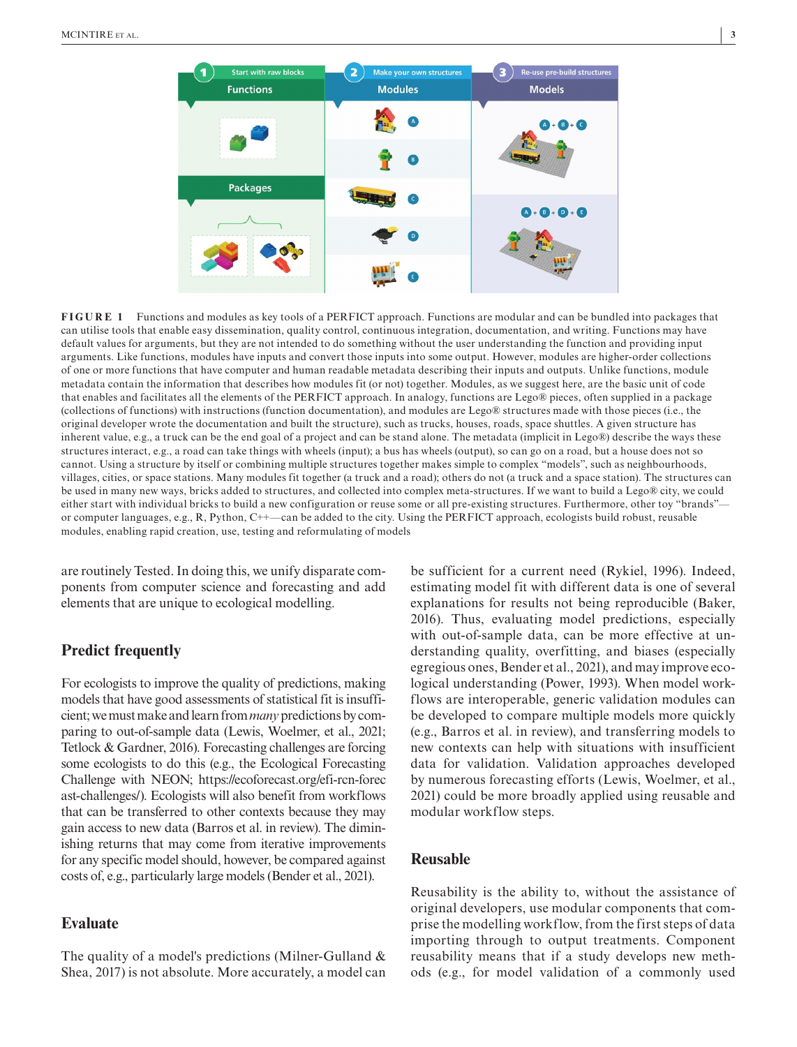

**FIGURE 1** Functions and modules as key tools of a PERFICT approach. Functions are modular and can be bundled into packages that can utilise tools that enable easy dissemination, quality control, continuous integration, documentation, and writing. Functions may have default values for arguments, but they are not intended to do something without the user understanding the function and providing input arguments. Like functions, modules have inputs and convert those inputs into some output. However, modules are higher-order collections of one or more functions that have computer and human readable metadata describing their inputs and outputs. Unlike functions, module metadata contain the information that describes how modules fit (or not) together. Modules, as we suggest here, are the basic unit of code that enables and facilitates all the elements of the PERFICT approach. In analogy, functions are Lego® pieces, often supplied in a package (collections of functions) with instructions (function documentation), and modules are Lego® structures made with those pieces (i.e., the original developer wrote the documentation and built the structure), such as trucks, houses, roads, space shuttles. A given structure has inherent value, e.g., a truck can be the end goal of a project and can be stand alone. The metadata (implicit in Lego®) describe the ways these structures interact, e.g., a road can take things with wheels (input); a bus has wheels (output), so can go on a road, but a house does not so cannot. Using a structure by itself or combining multiple structures together makes simple to complex "models", such as neighbourhoods, villages, cities, or space stations. Many modules fit together (a truck and a road); others do not (a truck and a space station). The structures can be used in many new ways, bricks added to structures, and collected into complex meta-structures. If we want to build a Lego® city, we could either start with individual bricks to build a new configuration or reuse some or all pre-existing structures. Furthermore, other toy "brands"—

or computer languages, e.g., R, Python, C++—can be added to the city. Using the PERFICT approach, ecologists build robust, reusable modules, enabling rapid creation, use, testing and reformulating of models

are routinely Tested. In doing this, we unify disparate components from computer science and forecasting and add elements that are unique to ecological modelling.

## **Predict frequently**

For ecologists to improve the quality of predictions, making models that have good assessments of statistical fit is insufficient; we must make and learn from *many* predictions by comparing to out-of-sample data (Lewis, Woelmer, et al., 2021; Tetlock & Gardner, 2016). Forecasting challenges are forcing some ecologists to do this (e.g., the Ecological Forecasting Challenge with NEON; [https://ecoforecast.org/efi-rcn-forec](https://ecoforecast.org/efi-rcn-forecast-challenges/) [ast-challenges/\)](https://ecoforecast.org/efi-rcn-forecast-challenges/). Ecologists will also benefit from workflows that can be transferred to other contexts because they may gain access to new data (Barros et al. in review). The diminishing returns that may come from iterative improvements for any specific model should, however, be compared against costs of, e.g., particularly large models (Bender et al., 2021).

### **Evaluate**

The quality of a model's predictions (Milner-Gulland & Shea, 2017) is not absolute. More accurately, a model can

be sufficient for a current need (Rykiel, 1996). Indeed, estimating model fit with different data is one of several explanations for results not being reproducible (Baker, 2016). Thus, evaluating model predictions, especially with out-of-sample data, can be more effective at understanding quality, overfitting, and biases (especially egregious ones, Bender et al., 2021), and may improve ecological understanding (Power, 1993). When model workflows are interoperable, generic validation modules can be developed to compare multiple models more quickly (e.g., Barros et al. in review), and transferring models to new contexts can help with situations with insufficient data for validation. Validation approaches developed by numerous forecasting efforts (Lewis, Woelmer, et al., 2021) could be more broadly applied using reusable and modular workflow steps.

## **Reusable**

Reusability is the ability to, without the assistance of original developers, use modular components that comprise the modelling workflow, from the first steps of data importing through to output treatments. Component reusability means that if a study develops new methods (e.g., for model validation of a commonly used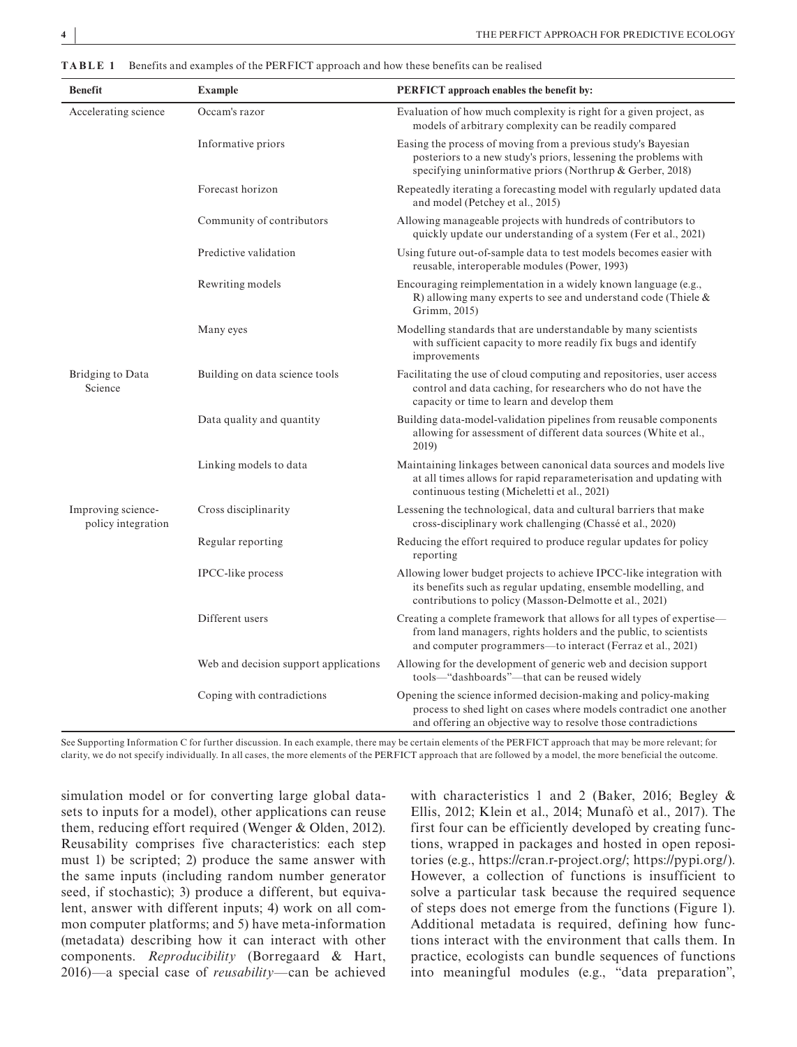| <b>Benefit</b>                           | <b>Example</b>                        | <b>PERFICT</b> approach enables the benefit by:                                                                                                                                                         |
|------------------------------------------|---------------------------------------|---------------------------------------------------------------------------------------------------------------------------------------------------------------------------------------------------------|
| Accelerating science                     | Occam's razor                         | Evaluation of how much complexity is right for a given project, as<br>models of arbitrary complexity can be readily compared                                                                            |
|                                          | Informative priors                    | Easing the process of moving from a previous study's Bayesian<br>posteriors to a new study's priors, lessening the problems with<br>specifying uninformative priors (Northrup & Gerber, 2018)           |
|                                          | Forecast horizon                      | Repeatedly iterating a forecasting model with regularly updated data<br>and model (Petchey et al., 2015)                                                                                                |
|                                          | Community of contributors             | Allowing manageable projects with hundreds of contributors to<br>quickly update our understanding of a system (Fer et al., 2021)                                                                        |
|                                          | Predictive validation                 | Using future out-of-sample data to test models becomes easier with<br>reusable, interoperable modules (Power, 1993)                                                                                     |
|                                          | Rewriting models                      | Encouraging reimplementation in a widely known language (e.g.,<br>R) allowing many experts to see and understand code (Thiele $\&$<br>Grimm, 2015)                                                      |
|                                          | Many eyes                             | Modelling standards that are understandable by many scientists<br>with sufficient capacity to more readily fix bugs and identify<br>improvements                                                        |
| Bridging to Data<br>Science              | Building on data science tools        | Facilitating the use of cloud computing and repositories, user access<br>control and data caching, for researchers who do not have the<br>capacity or time to learn and develop them                    |
|                                          | Data quality and quantity             | Building data-model-validation pipelines from reusable components<br>allowing for assessment of different data sources (White et al.,<br>2019)                                                          |
|                                          | Linking models to data                | Maintaining linkages between canonical data sources and models live<br>at all times allows for rapid reparameterisation and updating with<br>continuous testing (Micheletti et al., 2021)               |
| Improving science-<br>policy integration | Cross disciplinarity                  | Lessening the technological, data and cultural barriers that make<br>cross-disciplinary work challenging (Chassé et al., 2020)                                                                          |
|                                          | Regular reporting                     | Reducing the effort required to produce regular updates for policy<br>reporting                                                                                                                         |
|                                          | <b>IPCC-like</b> process              | Allowing lower budget projects to achieve IPCC-like integration with<br>its benefits such as regular updating, ensemble modelling, and<br>contributions to policy (Masson-Delmotte et al., 2021)        |
|                                          | Different users                       | Creating a complete framework that allows for all types of expertise—<br>from land managers, rights holders and the public, to scientists<br>and computer programmers-to interact (Ferraz et al., 2021) |
|                                          | Web and decision support applications | Allowing for the development of generic web and decision support<br>tools—"dashboards"—that can be reused widely                                                                                        |
|                                          | Coping with contradictions            | Opening the science informed decision-making and policy-making<br>process to shed light on cases where models contradict one another<br>and offering an objective way to resolve those contradictions   |

**TABLE 1** Benefits and examples of the PERFICT approach and how these benefits can be realised

See Supporting Information C for further discussion. In each example, there may be certain elements of the PERFICT approach that may be more relevant; for clarity, we do not specify individually. In all cases, the more elements of the PERFICT approach that are followed by a model, the more beneficial the outcome.

simulation model or for converting large global datasets to inputs for a model), other applications can reuse them, reducing effort required (Wenger & Olden, 2012). Reusability comprises five characteristics: each step must 1) be scripted; 2) produce the same answer with the same inputs (including random number generator seed, if stochastic); 3) produce a different, but equivalent, answer with different inputs; 4) work on all common computer platforms; and 5) have meta-information (metadata) describing how it can interact with other components. *Reproducibility* (Borregaard & Hart, 2016)—a special case of *reusability*—can be achieved

with characteristics 1 and 2 (Baker, 2016; Begley & Ellis, 2012; Klein et al., 2014; Munafò et al., 2017). The first four can be efficiently developed by creating functions, wrapped in packages and hosted in open repositories (e.g., [https://cran.r-project.org/;](https://cran.r-project.org/) [https://pypi.org/\)](https://pypi.org/). However, a collection of functions is insufficient to solve a particular task because the required sequence of steps does not emerge from the functions (Figure 1). Additional metadata is required, defining how functions interact with the environment that calls them. In practice, ecologists can bundle sequences of functions into meaningful modules (e.g., "data preparation",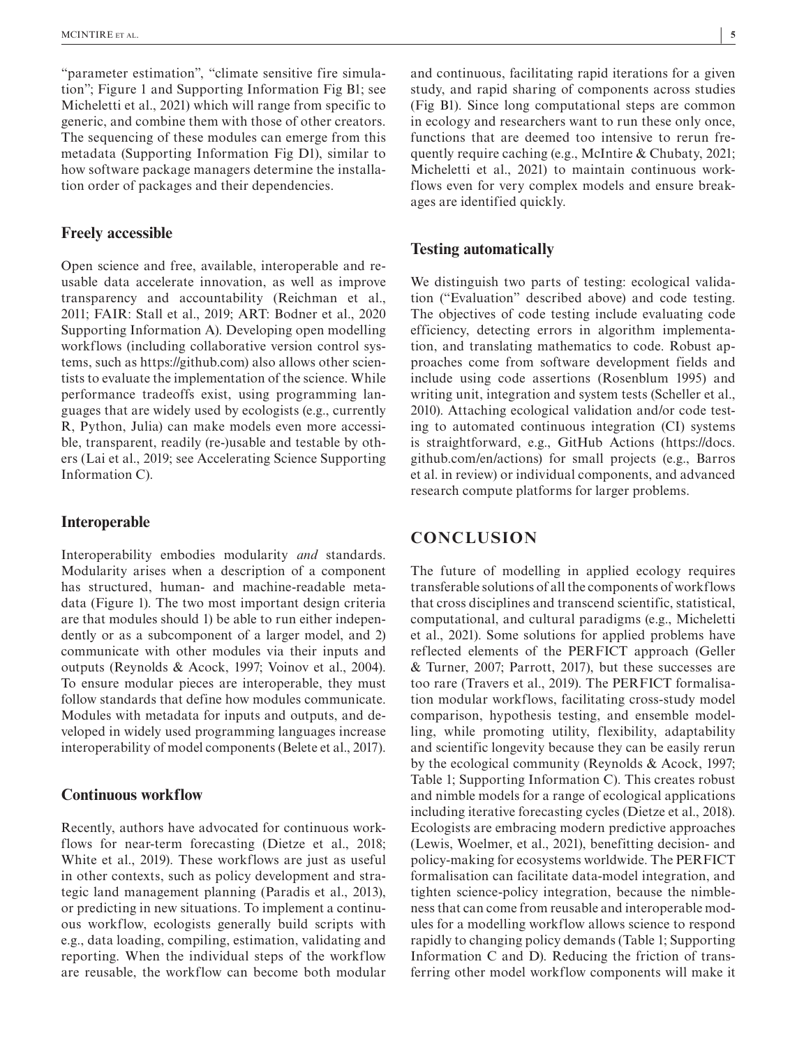"parameter estimation", "climate sensitive fire simulation"; Figure 1 and Supporting Information Fig B1; see Micheletti et al., 2021) which will range from specific to generic, and combine them with those of other creators. The sequencing of these modules can emerge from this metadata (Supporting Information Fig D1), similar to how software package managers determine the installation order of packages and their dependencies.

### **Freely accessible**

Open science and free, available, interoperable and reusable data accelerate innovation, as well as improve transparency and accountability (Reichman et al., 2011; FAIR: Stall et al., 2019; ART: Bodner et al., 2020 Supporting Information A). Developing open modelling workflows (including collaborative version control systems, such as [https://github.com\)](https://github.com) also allows other scientists to evaluate the implementation of the science. While performance tradeoffs exist, using programming languages that are widely used by ecologists (e.g., currently R, Python, Julia) can make models even more accessible, transparent, readily (re-)usable and testable by others (Lai et al., 2019; see Accelerating Science Supporting Information C).

## **Interoperable**

Interoperability embodies modularity *and* standards. Modularity arises when a description of a component has structured, human- and machine-readable metadata (Figure 1). The two most important design criteria are that modules should 1) be able to run either independently or as a subcomponent of a larger model, and 2) communicate with other modules via their inputs and outputs (Reynolds & Acock, 1997; Voinov et al., 2004). To ensure modular pieces are interoperable, they must follow standards that define how modules communicate. Modules with metadata for inputs and outputs, and developed in widely used programming languages increase interoperability of model components (Belete et al., 2017).

#### **Continuous workflow**

Recently, authors have advocated for continuous workflows for near-term forecasting (Dietze et al., 2018; White et al., 2019). These workflows are just as useful in other contexts, such as policy development and strategic land management planning (Paradis et al., 2013), or predicting in new situations. To implement a continuous workflow, ecologists generally build scripts with e.g., data loading, compiling, estimation, validating and reporting. When the individual steps of the workflow are reusable, the workflow can become both modular

and continuous, facilitating rapid iterations for a given study, and rapid sharing of components across studies (Fig B1). Since long computational steps are common in ecology and researchers want to run these only once, functions that are deemed too intensive to rerun frequently require caching (e.g., McIntire & Chubaty, 2021; Micheletti et al., 2021) to maintain continuous workflows even for very complex models and ensure breakages are identified quickly.

#### **Testing automatically**

We distinguish two parts of testing: ecological validation ("Evaluation" described above) and code testing. The objectives of code testing include evaluating code efficiency, detecting errors in algorithm implementation, and translating mathematics to code. Robust approaches come from software development fields and include using code assertions (Rosenblum 1995) and writing unit, integration and system tests (Scheller et al., 2010). Attaching ecological validation and/or code testing to automated continuous integration (CI) systems is straightforward, e.g., GitHub Actions ([https://docs.](https://docs.github.com/en/actions) [github.com/en/actions](https://docs.github.com/en/actions)) for small projects (e.g., Barros et al. in review) or individual components, and advanced research compute platforms for larger problems.

# **CONCLUSION**

The future of modelling in applied ecology requires transferable solutions of all the components of workflows that cross disciplines and transcend scientific, statistical, computational, and cultural paradigms (e.g., Micheletti et al., 2021). Some solutions for applied problems have reflected elements of the PERFICT approach (Geller & Turner, 2007; Parrott, 2017), but these successes are too rare (Travers et al., 2019). The PERFICT formalisation modular workflows, facilitating cross-study model comparison, hypothesis testing, and ensemble modelling, while promoting utility, flexibility, adaptability and scientific longevity because they can be easily rerun by the ecological community (Reynolds & Acock, 1997; Table 1; Supporting Information C). This creates robust and nimble models for a range of ecological applications including iterative forecasting cycles (Dietze et al., 2018). Ecologists are embracing modern predictive approaches (Lewis, Woelmer, et al., 2021), benefitting decision- and policy-making for ecosystems worldwide. The PERFICT formalisation can facilitate data-model integration, and tighten science-policy integration, because the nimbleness that can come from reusable and interoperable modules for a modelling workflow allows science to respond rapidly to changing policy demands (Table 1; Supporting Information C and D). Reducing the friction of transferring other model workflow components will make it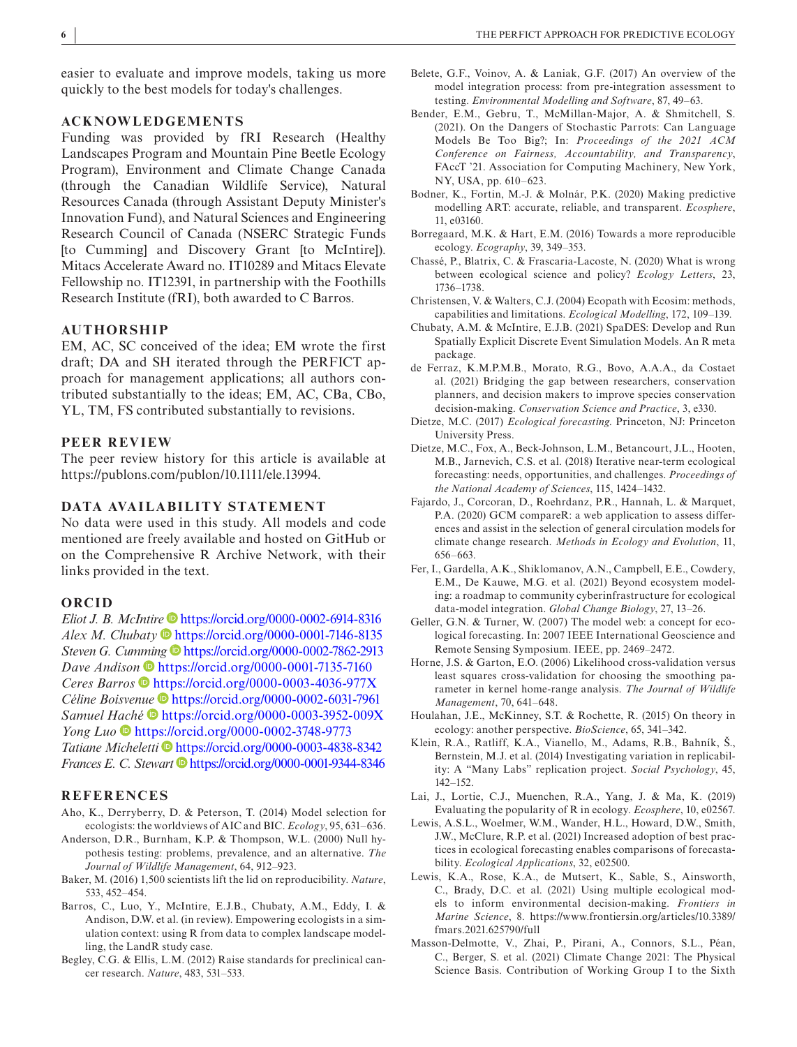easier to evaluate and improve models, taking us more quickly to the best models for today's challenges.

#### **ACKNOWLEDGEMENTS**

Funding was provided by fRI Research (Healthy Landscapes Program and Mountain Pine Beetle Ecology Program), Environment and Climate Change Canada (through the Canadian Wildlife Service), Natural Resources Canada (through Assistant Deputy Minister's Innovation Fund), and Natural Sciences and Engineering Research Council of Canada (NSERC Strategic Funds [to Cumming] and Discovery Grant [to McIntire]). Mitacs Accelerate Award no. IT10289 and Mitacs Elevate Fellowship no. IT12391, in partnership with the Foothills Research Institute (fRI), both awarded to C Barros.

## **AUTHORSHIP**

EM, AC, SC conceived of the idea; EM wrote the first draft; DA and SH iterated through the PERFICT approach for management applications; all authors contributed substantially to the ideas; EM, AC, CBa, CBo, YL, TM, FS contributed substantially to revisions.

#### **PEER REVIEW**

The peer review history for this article is available at <https://publons.com/publon/10.1111/ele.13994>.

#### **DATA AVAILABILITY STATEMENT**

No data were used in this study. All models and code mentioned are freely available and hosted on GitHub or on the Comprehensive R Archive Network, with their links provided in the text.

#### **ORCID**

*Eliot J. B. McInti[r](https://orcid.org/0000-0001-7146-8135)[e](https://orcid.org/0000-0002-6914-8316)* <https://orcid.org/0000-0002-6914-8316> *Alex M. Chubaty* **<https://orcid.org/0000-0001-7146-8135>** *Steven G. Cu[mmin](https://orcid.org/0000-0001-7135-7160)g*  $\bullet$  <https://orcid.org/0000-0002-7862-2913> *Dave A[n](https://orcid.org/0000-0003-4036-977X)dison*  $\bullet$  <https://orcid.org/0000-0001-7135-7160> *Ceres Barros* <https://orcid.org/0000-0003-4036-977X> *Céline Boisven[ue](https://orcid.org/0000-0003-3952-009X)* <https://orcid.org/0000-0002-6031-7961> *Samuel [Hach](https://orcid.org/0000-0002-3748-9773)é* <https://orcid.org/0000-0003-3952-009X> *Yong Luo* <https://orcid.org/0000-0002-3748-9773> Tatiane Micheletti<sup> D</sup><https://orcid.org/0000-0003-4838-8342> *Frances E. C. Stewart* D<https://orcid.org/0000-0001-9344-8346>

#### **REFERENCES**

- Aho, K., Derryberry, D. & Peterson, T. (2014) Model selection for ecologists: the worldviews of AIC and BIC. *Ecology*, 95, 631–636.
- Anderson, D.R., Burnham, K.P. & Thompson, W.L. (2000) Null hypothesis testing: problems, prevalence, and an alternative. *The Journal of Wildlife Management*, 64, 912–923.
- Baker, M. (2016) 1,500 scientists lift the lid on reproducibility. *Nature*, 533, 452–454.
- Barros, C., Luo, Y., McIntire, E.J.B., Chubaty, A.M., Eddy, I. & Andison, D.W. et al. (in review). Empowering ecologists in a simulation context: using R from data to complex landscape modelling, the LandR study case.
- Begley, C.G. & Ellis, L.M. (2012) Raise standards for preclinical cancer research. *Nature*, 483, 531–533.
- Belete, G.F., Voinov, A. & Laniak, G.F. (2017) An overview of the model integration process: from pre-integration assessment to testing. *Environmental Modelling and Software*, 87, 49–63.
- Bender, E.M., Gebru, T., McMillan-Major, A. & Shmitchell, S. (2021). On the Dangers of Stochastic Parrots: Can Language Models Be Too Big?; In: *Proceedings of the 2021 ACM Conference on Fairness, Accountability, and Transparency*, FAccT '21. Association for Computing Machinery, New York, NY, USA, pp. 610–623.
- Bodner, K., Fortin, M.-J. & Molnár, P.K. (2020) Making predictive modelling ART: accurate, reliable, and transparent. *Ecosphere*, 11, e03160.
- Borregaard, M.K. & Hart, E.M. (2016) Towards a more reproducible ecology. *Ecography*, 39, 349–353.
- Chassé, P., Blatrix, C. & Frascaria-Lacoste, N. (2020) What is wrong between ecological science and policy? *Ecology Letters*, 23, 1736–1738.
- Christensen, V. & Walters, C.J. (2004) Ecopath with Ecosim: methods, capabilities and limitations. *Ecological Modelling*, 172, 109–139.
- Chubaty, A.M. & McIntire, E.J.B. (2021) SpaDES: Develop and Run Spatially Explicit Discrete Event Simulation Models. An R meta package.
- de Ferraz, K.M.P.M.B., Morato, R.G., Bovo, A.A.A., da Costaet al. (2021) Bridging the gap between researchers, conservation planners, and decision makers to improve species conservation decision-making. *Conservation Science and Practice*, 3, e330.
- Dietze, M.C. (2017) *Ecological forecasting*. Princeton, NJ: Princeton University Press.
- Dietze, M.C., Fox, A., Beck-Johnson, L.M., Betancourt, J.L., Hooten, M.B., Jarnevich, C.S. et al. (2018) Iterative near-term ecological forecasting: needs, opportunities, and challenges. *Proceedings of the National Academy of Sciences*, 115, 1424–1432.
- Fajardo, J., Corcoran, D., Roehrdanz, P.R., Hannah, L. & Marquet, P.A. (2020) GCM compareR: a web application to assess differences and assist in the selection of general circulation models for climate change research. *Methods in Ecology and Evolution*, 11, 656–663.
- Fer, I., Gardella, A.K., Shiklomanov, A.N., Campbell, E.E., Cowdery, E.M., De Kauwe, M.G. et al. (2021) Beyond ecosystem modeling: a roadmap to community cyberinfrastructure for ecological data-model integration. *Global Change Biology*, 27, 13–26.
- Geller, G.N. & Turner, W. (2007) The model web: a concept for ecological forecasting. In: 2007 IEEE International Geoscience and Remote Sensing Symposium. IEEE, pp. 2469–2472.
- Horne, J.S. & Garton, E.O. (2006) Likelihood cross-validation versus least squares cross-validation for choosing the smoothing parameter in kernel home-range analysis. *The Journal of Wildlife Management*, 70, 641–648.
- Houlahan, J.E., McKinney, S.T. & Rochette, R. (2015) On theory in ecology: another perspective. *BioScience*, 65, 341–342.
- Klein, R.A., Ratliff, K.A., Vianello, M., Adams, R.B., Bahník, Š., Bernstein, M.J. et al. (2014) Investigating variation in replicability: A "Many Labs" replication project. *Social Psychology*, 45, 142–152.
- Lai, J., Lortie, C.J., Muenchen, R.A., Yang, J. & Ma, K. (2019) Evaluating the popularity of R in ecology. *Ecosphere*, 10, e02567.
- Lewis, A.S.L., Woelmer, W.M., Wander, H.L., Howard, D.W., Smith, J.W., McClure, R.P. et al. (2021) Increased adoption of best practices in ecological forecasting enables comparisons of forecastability. *Ecological Applications*, 32, e02500.
- Lewis, K.A., Rose, K.A., de Mutsert, K., Sable, S., Ainsworth, C., Brady, D.C. et al. (2021) Using multiple ecological models to inform environmental decision-making. *Frontiers in Marine Science*, 8. [https://www.frontiersin.org/articles/10.3389/](https://www.frontiersin.org/articles/10.3389/fmars.2021.625790/full) [fmars.2021.625790/full](https://www.frontiersin.org/articles/10.3389/fmars.2021.625790/full)
- Masson-Delmotte, V., Zhai, P., Pirani, A., Connors, S.L., Péan, C., Berger, S. et al. (2021) Climate Change 2021: The Physical Science Basis. Contribution of Working Group I to the Sixth